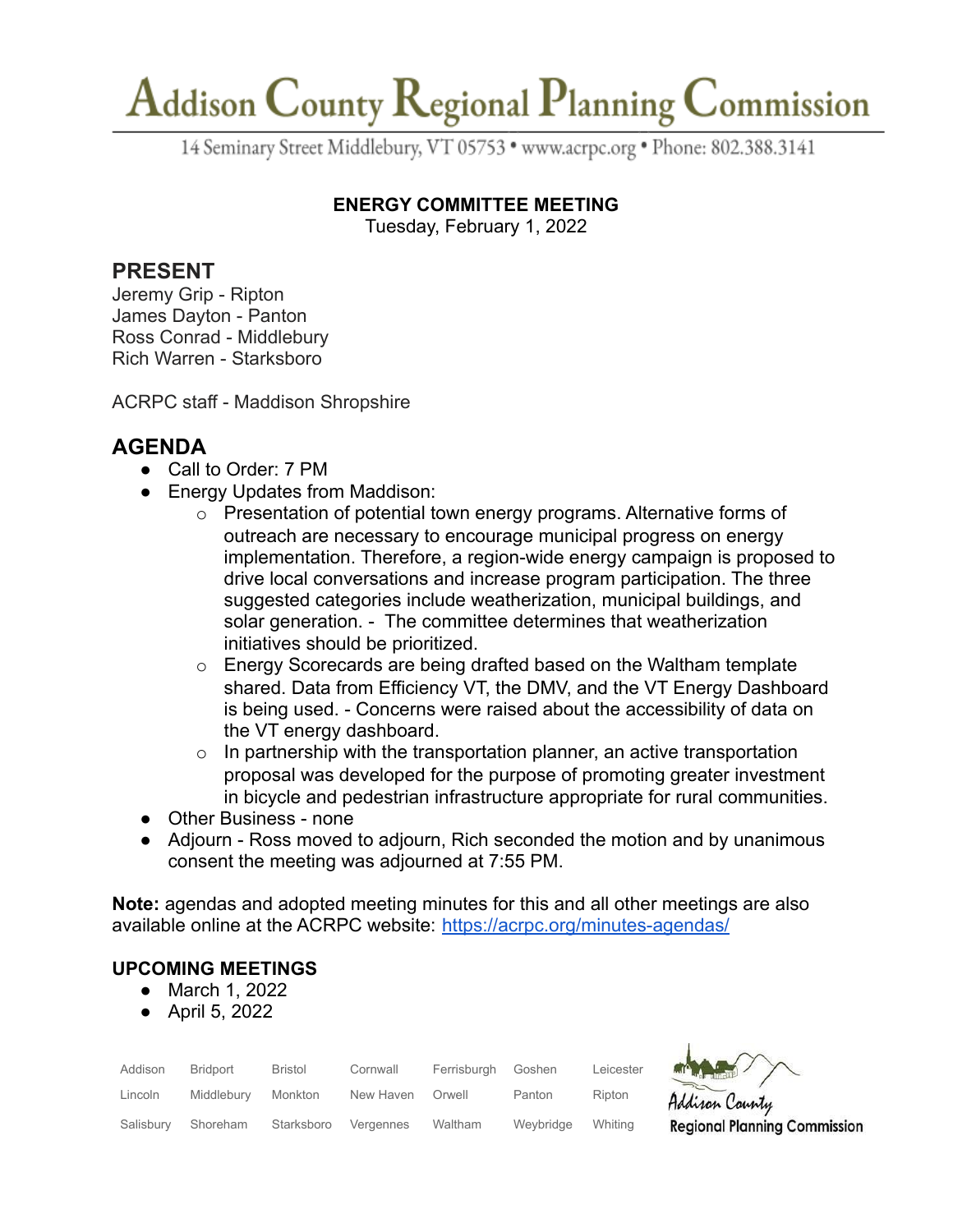# Addison County Regional Planning Commission

14 Seminary Street Middlebury, VT 05753 · www.acrpc.org · Phone: 802.388.3141

#### **ENERGY COMMITTEE MEETING**

Tuesday, February 1, 2022

### **PRESENT**

Jeremy Grip - Ripton James Dayton - Panton Ross Conrad - Middlebury Rich Warren - Starksboro

ACRPC staff - Maddison Shropshire

## **AGENDA**

- Call to Order: 7 PM
- Energy Updates from Maddison:
	- o Presentation of potential town energy programs. Alternative forms of outreach are necessary to encourage municipal progress on energy implementation. Therefore, a region-wide energy campaign is proposed to drive local conversations and increase program participation. The three suggested categories include weatherization, municipal buildings, and solar generation. - The committee determines that weatherization initiatives should be prioritized.
	- o Energy Scorecards are being drafted based on the Waltham template shared. Data from Efficiency VT, the DMV, and the VT Energy Dashboard is being used. - Concerns were raised about the accessibility of data on the VT energy dashboard.
	- $\circ$  In partnership with the transportation planner, an active transportation proposal was developed for the purpose of promoting greater investment in bicycle and pedestrian infrastructure appropriate for rural communities.
- Other Business none
- Adjourn Ross moved to adjourn, Rich seconded the motion and by unanimous consent the meeting was adjourned at 7:55 PM.

**Note:** agendas and adopted meeting minutes for this and all other meetings are also available online at the ACRPC website: <https://acrpc.org/minutes-agendas/>

### **UPCOMING MEETINGS**

- March 1, 2022
- April 5, 2022

| Addison   | Bridport   | <b>Bristol</b> | Cornwall  | Ferrisburah | Goshen    | Leicester |
|-----------|------------|----------------|-----------|-------------|-----------|-----------|
| Lincoln   | Middlebury | Monkton        | New Haven | Orwell      | Panton    | Ripton    |
| Salisburv | Shoreham   | Starksboro     | Vergennes | Waltham     | Weybridge | Whiting   |



Adison County **Regional Planning Commission**